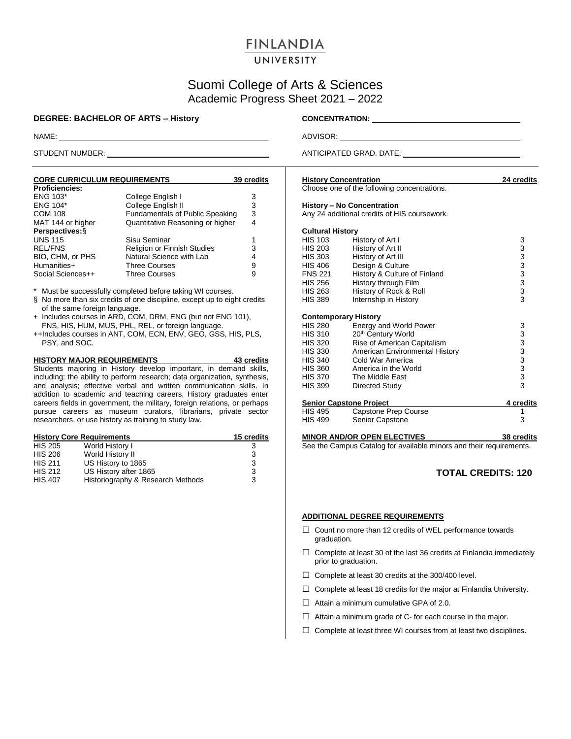## **FINLANDIA**

### UNIVERSITY

### Suomi College of Arts & Sciences Academic Progress Sheet 2021 – 2022

### **DEGREE: BACHELOR OF ARTS – History CONCENTRATION:** \_\_\_\_

| <b>CORE CURRICULUM REQUIREMENTS</b> |                                        | 39 credits |
|-------------------------------------|----------------------------------------|------------|
| <b>Proficiencies:</b>               |                                        |            |
| <b>ENG 103*</b>                     | College English I                      | 3          |
| <b>ENG 104*</b>                     | College English II                     | 3          |
| <b>COM 108</b>                      | <b>Fundamentals of Public Speaking</b> | 3          |
| MAT 144 or higher                   | Quantitative Reasoning or higher       | 4          |
| Perspectives: §                     |                                        |            |
| <b>UNS 115</b>                      | Sisu Seminar                           | 1          |
| <b>REL/FNS</b>                      | Religion or Finnish Studies            | 3          |
| BIO, CHM, or PHS                    | Natural Science with Lab               | 4          |
| Humanities+                         | <b>Three Courses</b>                   | 9          |
| Social Sciences++                   | <b>Three Courses</b>                   | 9          |

Must be successfully completed before taking WI courses.

- § No more than six credits of one discipline, except up to eight credits of the same foreign language.
- + Includes courses in ARD, COM, DRM, ENG (but not ENG 101), FNS, HIS, HUM, MUS, PHL, REL, or foreign language.
- ++Includes courses in ANT, COM, ECN, ENV, GEO, GSS, HIS, PLS, PSY, and SOC.

**HISTORY MAJOR REQUIREMENTS 43 credits** Students majoring in History develop important, in demand skills, including: the ability to perform research; data organization, synthesis, and analysis; effective verbal and written communication skills. In addition to academic and teaching careers, History graduates enter careers fields in government, the military, foreign relations, or perhaps pursue careers as museum curators, librarians, private sector researchers, or use history as training to study law.

|                | 15 credits<br><b>History Core Requirements</b> |   |
|----------------|------------------------------------------------|---|
| <b>HIS 205</b> | World History I                                | 3 |
| <b>HIS 206</b> | World History II                               | 3 |
| <b>HIS 211</b> | US History to 1865                             | 3 |
| <b>HIS 212</b> | US History after 1865                          | 3 |
| <b>HIS 407</b> | Historiography & Research Methods              | 3 |

NAME: ADVISOR:

STUDENT NUMBER: ANTICIPATED GRAD. DATE:

| <b>History Concentration</b> |                                                                            | 24 credits |
|------------------------------|----------------------------------------------------------------------------|------------|
|                              | Choose one of the following concentrations.                                |            |
|                              | History - No Concentration<br>Any 24 additional credits of HIS coursework. |            |
| <b>Cultural History</b>      |                                                                            |            |
| <b>HIS 103</b>               | History of Art I                                                           | 3          |
| <b>HIS 203</b>               | History of Art II                                                          | 3          |
| <b>HIS 303</b>               | History of Art III                                                         | 3          |
| HIS 406                      | Design & Culture                                                           | 3          |
| <b>FNS 221</b>               | History & Culture of Finland                                               | 3          |
| <b>HIS 256</b>               | History through Film                                                       | 3          |
| <b>HIS 263</b>               | History of Rock & Roll                                                     | 3          |
| <b>HIS 389</b>               | Internship in History                                                      | 3          |
|                              |                                                                            |            |

|                                | <b>Contemporary History</b>    |           |
|--------------------------------|--------------------------------|-----------|
| <b>HIS 280</b>                 | <b>Energy and World Power</b>  | 3         |
| <b>HIS 310</b>                 | 20th Century World             | 3         |
| <b>HIS 320</b>                 | Rise of American Capitalism    | 3         |
| <b>HIS 330</b>                 | American Environmental History | 3         |
| <b>HIS 340</b>                 | Cold War America               | 3         |
| <b>HIS 360</b>                 | America in the World           | 3         |
| <b>HIS 370</b>                 | The Middle East                | 3         |
| <b>HIS 399</b>                 | Directed Study                 | 3         |
| <b>Senior Capstone Project</b> |                                | 4 credits |
| <b>HIS 495</b>                 | Capstone Prep Course           |           |

# HIS 499 Senior Capstone 3

**MINOR AND/OR OPEN ELECTIVES 38 credits** See the Campus Catalog for available minors and their requirements.

### **TOTAL CREDITS: 120**

### **ADDITIONAL DEGREE REQUIREMENTS**

- $\Box$  Count no more than 12 credits of WEL performance towards graduation.
- $\square$  Complete at least 30 of the last 36 credits at Finlandia immediately prior to graduation.
- □ Complete at least 30 credits at the 300/400 level.
- $\Box$  Complete at least 18 credits for the major at Finlandia University.
- $\Box$  Attain a minimum cumulative GPA of 2.0.
- $\Box$  Attain a minimum grade of C- for each course in the major.
- $\Box$  Complete at least three WI courses from at least two disciplines.